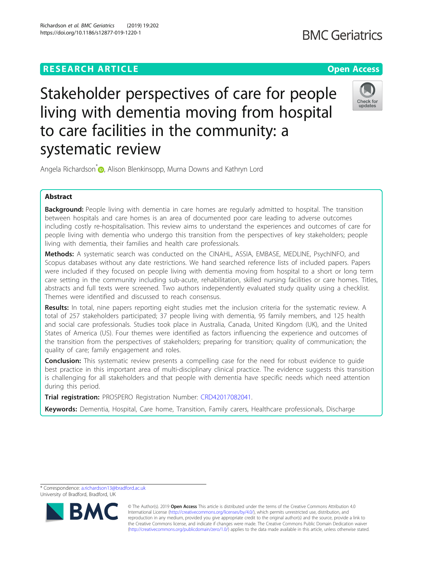

to care facilities in the community: a systematic review

Stakeholder perspectives of care for people

living with dementia moving from hospital

Angela Richardson<sup>\*</sup> <sub>(b</sub>[,](http://orcid.org/0000-0002-9490-884X) Alison Blenkinsopp, Murna Downs and Kathryn Lord

# Abstract

Background: People living with dementia in care homes are regularly admitted to hospital. The transition between hospitals and care homes is an area of documented poor care leading to adverse outcomes including costly re-hospitalisation. This review aims to understand the experiences and outcomes of care for people living with dementia who undergo this transition from the perspectives of key stakeholders; people living with dementia, their families and health care professionals.

Methods: A systematic search was conducted on the CINAHL, ASSIA, EMBASE, MEDLINE, PsychINFO, and Scopus databases without any date restrictions. We hand searched reference lists of included papers. Papers were included if they focused on people living with dementia moving from hospital to a short or long term care setting in the community including sub-acute, rehabilitation, skilled nursing facilities or care homes. Titles, abstracts and full texts were screened. Two authors independently evaluated study quality using a checklist. Themes were identified and discussed to reach consensus.

Results: In total, nine papers reporting eight studies met the inclusion criteria for the systematic review. A total of 257 stakeholders participated; 37 people living with dementia, 95 family members, and 125 health and social care professionals. Studies took place in Australia, Canada, United Kingdom (UK), and the United States of America (US). Four themes were identified as factors influencing the experience and outcomes of the transition from the perspectives of stakeholders; preparing for transition; quality of communication; the quality of care; family engagement and roles.

**Conclusion:** This systematic review presents a compelling case for the need for robust evidence to quide best practice in this important area of multi-disciplinary clinical practice. The evidence suggests this transition is challenging for all stakeholders and that people with dementia have specific needs which need attention during this period.

Trial registration: PROSPERO Registration Number: [CRD42017082041.](http://www.crd.york.ac.uk/PROSPERO/display_record.php?ID=CRD42017082041)

Keywords: Dementia, Hospital, Care home, Transition, Family carers, Healthcare professionals, Discharge

\* Correspondence: [a.richardson13@bradford.ac.uk](mailto:a.richardson13@bradford.ac.uk)

University of Bradford, Bradford, UK



© The Author(s). 2019 **Open Access** This article is distributed under the terms of the Creative Commons Attribution 4.0 International License [\(http://creativecommons.org/licenses/by/4.0/](http://creativecommons.org/licenses/by/4.0/)), which permits unrestricted use, distribution, and reproduction in any medium, provided you give appropriate credit to the original author(s) and the source, provide a link to the Creative Commons license, and indicate if changes were made. The Creative Commons Public Domain Dedication waiver [\(http://creativecommons.org/publicdomain/zero/1.0/](http://creativecommons.org/publicdomain/zero/1.0/)) applies to the data made available in this article, unless otherwise stated.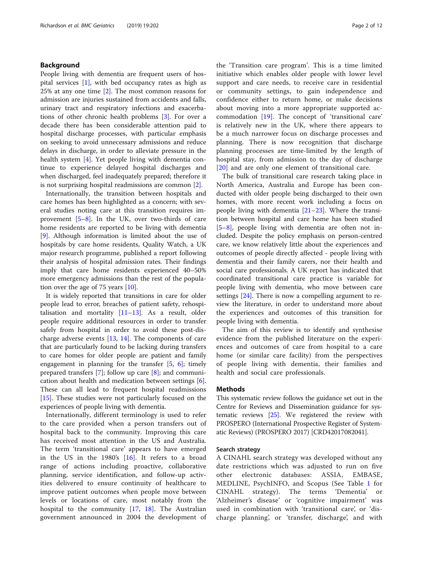## Background

People living with dementia are frequent users of hospital services  $[1]$  $[1]$ , with bed occupancy rates as high as 25% at any one time [\[2](#page-10-0)]. The most common reasons for admission are injuries sustained from accidents and falls, urinary tract and respiratory infections and exacerbations of other chronic health problems [[3\]](#page-10-0). For over a decade there has been considerable attention paid to hospital discharge processes, with particular emphasis on seeking to avoid unnecessary admissions and reduce delays in discharge, in order to alleviate pressure in the health system [\[4](#page-10-0)]. Yet people living with dementia continue to experience delayed hospital discharges and when discharged, feel inadequately prepared; therefore it is not surprising hospital readmissions are common [\[2](#page-10-0)].

Internationally, the transition between hospitals and care homes has been highlighted as a concern; with several studies noting care at this transition requires improvement  $[5-8]$  $[5-8]$  $[5-8]$  $[5-8]$ . In the UK, over two-thirds of care home residents are reported to be living with dementia [[9\]](#page-10-0). Although information is limited about the use of hospitals by care home residents, Quality Watch, a UK major research programme, published a report following their analysis of hospital admission rates. Their findings imply that care home residents experienced 40–50% more emergency admissions than the rest of the population over the age of 75 years [\[10](#page-10-0)].

It is widely reported that transitions in care for older people lead to error, breaches of patient safety, rehospitalisation and mortality  $[11-13]$  $[11-13]$  $[11-13]$ . As a result, older people require additional resources in order to transfer safely from hospital in order to avoid these post-discharge adverse events  $[13, 14]$  $[13, 14]$  $[13, 14]$  $[13, 14]$  $[13, 14]$ . The components of care that are particularly found to be lacking during transfers to care homes for older people are patient and family engagement in planning for the transfer [\[5](#page-10-0), [6](#page-10-0)]; timely prepared transfers [[7\]](#page-10-0); follow up care [\[8](#page-10-0)]; and communication about health and medication between settings [\[6](#page-10-0)]. These can all lead to frequent hospital readmissions [[15\]](#page-10-0). These studies were not particularly focused on the experiences of people living with dementia.

Internationally, different terminology is used to refer to the care provided when a person transfers out of hospital back to the community. Improving this care has received most attention in the US and Australia. The term 'transitional care' appears to have emerged in the US in the 1980's [\[16](#page-10-0)]. It refers to a broad range of actions including proactive, collaborative planning, service identification, and follow-up activities delivered to ensure continuity of healthcare to improve patient outcomes when people move between levels or locations of care, most notably from the hospital to the community [[17,](#page-10-0) [18\]](#page-10-0). The Australian government announced in 2004 the development of the 'Transition care program'. This is a time limited initiative which enables older people with lower level support and care needs, to receive care in residential or community settings, to gain independence and confidence either to return home, or make decisions about moving into a more appropriate supported accommodation [[19\]](#page-10-0). The concept of 'transitional care' is relatively new in the UK, where there appears to be a much narrower focus on discharge processes and planning. There is now recognition that discharge planning processes are time-limited by the length of hospital stay, from admission to the day of discharge [[20\]](#page-10-0) and are only one element of transitional care.

The bulk of transitional care research taking place in North America, Australia and Europe has been conducted with older people being discharged to their own homes, with more recent work including a focus on people living with dementia [[21](#page-10-0)–[23](#page-10-0)]. Where the transition between hospital and care home has been studied [[5](#page-10-0)–[8\]](#page-10-0), people living with dementia are often not included. Despite the policy emphasis on person-centred care, we know relatively little about the experiences and outcomes of people directly affected - people living with dementia and their family carers, nor their health and social care professionals. A UK report has indicated that coordinated transitional care practice is variable for people living with dementia, who move between care settings [[24\]](#page-11-0). There is now a compelling argument to review the literature, in order to understand more about the experiences and outcomes of this transition for people living with dementia.

The aim of this review is to identify and synthesise evidence from the published literature on the experiences and outcomes of care from hospital to a care home (or similar care facility) from the perspectives of people living with dementia, their families and health and social care professionals.

## Methods

This systematic review follows the guidance set out in the Centre for Reviews and Dissemination guidance for systematic reviews [[25](#page-11-0)]. We registered the review with PROSPERO (International Prospective Register of Systematic Reviews) (PROSPERO 2017) [CRD42017082041].

## Search strategy

A CINAHL search strategy was developed without any date restrictions which was adjusted to run on five other electronic databases: ASSIA, EMBASE, MEDLINE, PsychINFO, and Scopus (See Table [1](#page-2-0) for CINAHL strategy). The terms 'Dementia' or 'Alzheimer's disease' or 'cognitive impairment' was used in combination with 'transitional care', or 'discharge planning', or 'transfer, discharge', and with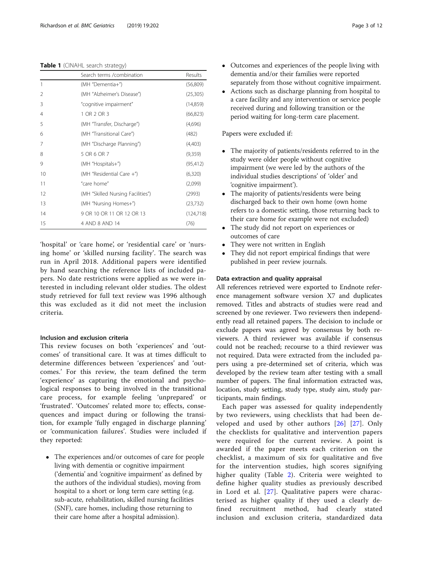### <span id="page-2-0"></span>Table 1 (CINAHL search strategy)

|                | Search terms /combination         | Results    |
|----------------|-----------------------------------|------------|
| 1              | (MH "Dementia+")                  | (56,809)   |
| 2              | (MH "Alzheimer's Disease")        | (25,305)   |
| 3              | "cognitive impairment"            | (14,859)   |
| $\overline{4}$ | 1 OR 2 OR 3                       | (66, 823)  |
| 5              | (MH "Transfer, Discharge")        | (4,696)    |
| 6              | (MH "Transitional Care")          | (482)      |
| 7              | (MH "Discharge Planning")         | (4,403)    |
| 8              | 5 OR 6 OR 7                       | (9,359)    |
| 9              | (MH "Hospitals+")                 | (95, 412)  |
| 10             | (MH "Residential Care +")         | (6,320)    |
| 11             | "care home"                       | (2,099)    |
| 12             | (MH "Skilled Nursing Facilities") | (2993)     |
| 13             | (MH "Nursing Homes+")             | (23, 732)  |
| 14             | 9 OR 10 OR 11 OR 12 OR 13         | (124, 718) |
| 15             | 4 AND 8 AND 14                    | (76)       |

'hospital' or 'care home', or 'residential care' or 'nursing home' or 'skilled nursing facility'. The search was run in April 2018. Additional papers were identified by hand searching the reference lists of included papers. No date restrictions were applied as we were interested in including relevant older studies. The oldest study retrieved for full text review was 1996 although this was excluded as it did not meet the inclusion criteria.

## Inclusion and exclusion criteria

This review focuses on both 'experiences' and 'outcomes' of transitional care. It was at times difficult to determine differences between 'experiences' and 'outcomes.' For this review, the team defined the term 'experience' as capturing the emotional and psychological responses to being involved in the transitional care process, for example feeling 'unprepared' or 'frustrated'. 'Outcomes' related more to; effects, consequences and impact during or following the transition, for example 'fully engaged in discharge planning' or 'communication failures'. Studies were included if they reported:

 The experiences and/or outcomes of care for people living with dementia or cognitive impairment ('dementia' and 'cognitive impairment' as defined by the authors of the individual studies), moving from hospital to a short or long term care setting (e.g. sub-acute, rehabilitation, skilled nursing facilities (SNF), care homes, including those returning to their care home after a hospital admission).

- Outcomes and experiences of the people living with dementia and/or their families were reported separately from those without cognitive impairment.
- Actions such as discharge planning from hospital to a care facility and any intervention or service people received during and following transition or the period waiting for long-term care placement.

## Papers were excluded if:

- The majority of patients/residents referred to in the study were older people without cognitive impairment (we were led by the authors of the individual studies descriptions' of 'older' and 'cognitive impairment').
- The majority of patients/residents were being discharged back to their own home (own home refers to a domestic setting, those returning back to their care home for example were not excluded)
- The study did not report on experiences or outcomes of care
- They were not written in English
- They did not report empirical findings that were published in peer review journals.

## Data extraction and quality appraisal

All references retrieved were exported to Endnote reference management software version X7 and duplicates removed. Titles and abstracts of studies were read and screened by one reviewer. Two reviewers then independently read all retained papers. The decision to include or exclude papers was agreed by consensus by both reviewers. A third reviewer was available if consensus could not be reached; recourse to a third reviewer was not required. Data were extracted from the included papers using a pre-determined set of criteria, which was developed by the review team after testing with a small number of papers. The final information extracted was, location, study setting, study type, study aim, study participants, main findings.

Each paper was assessed for quality independently by two reviewers, using checklists that had been developed and used by other authors [[26](#page-11-0)] [\[27\]](#page-11-0). Only the checklists for qualitative and intervention papers were required for the current review. A point is awarded if the paper meets each criterion on the checklist, a maximum of six for qualitative and five for the intervention studies, high scores signifying higher quality (Table [2](#page-3-0)). Criteria were weighted to define higher quality studies as previously described in Lord et al. [[27\]](#page-11-0). Qualitative papers were characterised as higher quality if they used a clearly defined recruitment method, had clearly stated inclusion and exclusion criteria, standardized data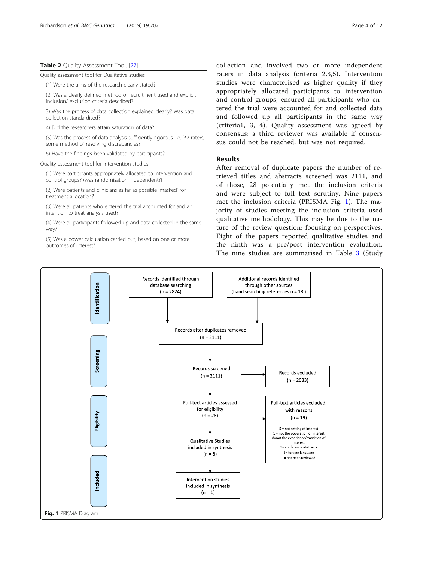## <span id="page-3-0"></span>Table 2 Quality Assessment Tool. [\[27](#page-11-0)]

Quality assessment tool for Qualitative studies

(1) Were the aims of the research clearly stated?

(2) Was a clearly defined method of recruitment used and explicit inclusion/ exclusion criteria described?

3) Was the process of data collection explained clearly? Was data collection standardised?

4) Did the researchers attain saturation of data?

(5) Was the process of data analysis sufficiently rigorous, i.e. ≥2 raters, some method of resolving discrepancies?

6) Have the findings been validated by participants?

Quality assessment tool for Intervention studies

(1) Were participants appropriately allocated to intervention and control groups? (was randomisation independent?)

(2) Were patients and clinicians as far as possible 'masked' for treatment allocation?

(3) Were all patients who entered the trial accounted for and an intention to treat analysis used?

(4) Were all participants followed up and data collected in the same way?

(5) Was a power calculation carried out, based on one or more outcomes of interest?

collection and involved two or more independent raters in data analysis (criteria 2,3,5). Intervention studies were characterised as higher quality if they appropriately allocated participants to intervention and control groups, ensured all participants who entered the trial were accounted for and collected data and followed up all participants in the same way (criteria1, 3, 4). Quality assessment was agreed by consensus; a third reviewer was available if consensus could not be reached, but was not required.

## Results

After removal of duplicate papers the number of retrieved titles and abstracts screened was 2111, and of those, 28 potentially met the inclusion criteria and were subject to full text scrutiny. Nine papers met the inclusion criteria (PRISMA Fig. 1). The majority of studies meeting the inclusion criteria used qualitative methodology. This may be due to the nature of the review question; focusing on perspectives. Eight of the papers reported qualitative studies and the ninth was a pre/post intervention evaluation. The nine studies are summarised in Table [3](#page-4-0) (Study

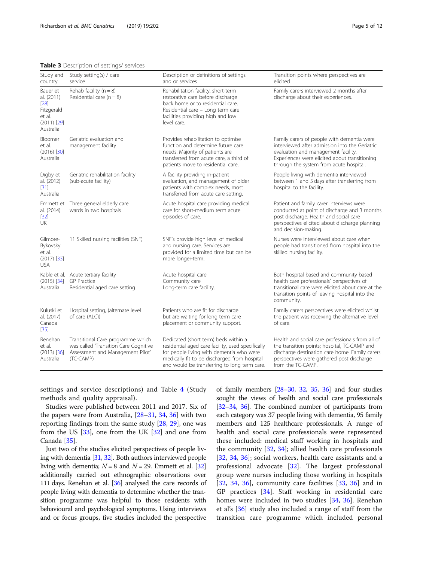<span id="page-4-0"></span>Table 3 Description of settings/ services

| Transition points where perspectives are |
|------------------------------------------|

| Study and<br>country                                                                   | Study setting(s) / care<br>service                                                                                         | Description or definitions of settings<br>and or services                                                                                                                                                                             | Transition points where perspectives are<br>elicited                                                                                                                                                                            |
|----------------------------------------------------------------------------------------|----------------------------------------------------------------------------------------------------------------------------|---------------------------------------------------------------------------------------------------------------------------------------------------------------------------------------------------------------------------------------|---------------------------------------------------------------------------------------------------------------------------------------------------------------------------------------------------------------------------------|
| Bauer et<br>al. (2011)<br>$[28]$<br>Fitzgerald<br>et al.<br>$(2011)$ [29]<br>Australia | Rehab facility ( $n = 8$ )<br>Residential care $(n = 8)$                                                                   | Rehabilitation facility, short-term<br>restorative care before discharge<br>back home or to residential care.<br>Residential care - Long term care<br>facilities providing high and low<br>level care.                                | Family carers interviewed 2 months after<br>discharge about their experiences.                                                                                                                                                  |
| Bloomer<br>et al.<br>$(2016)$ [30]<br>Australia                                        | Geriatric evaluation and<br>management facility                                                                            | Provides rehabilitation to optimise<br>function and determine future care<br>needs. Majority of patients are<br>transferred from acute care, a third of<br>patients move to residential care.                                         | Family carers of people with dementia were<br>interviewed after admission into the Geriatric<br>evaluation and management facility.<br>Experiences were elicited about transitioning<br>through the system from acute hospital. |
| Digby et<br>al. (2012)<br>$[31]$<br>Australia                                          | Geriatric rehabilitation facility<br>(sub-acute facility)                                                                  | A facility providing in-patient<br>evaluation, and management of older<br>patients with complex needs, most<br>transferred from acute care setting.                                                                                   | People living with dementia interviewed<br>between 1 and 5 days after transferring from<br>hospital to the facility.                                                                                                            |
| Emmett et<br>al. (2014)<br>$[32]$<br>UK                                                | Three general elderly care<br>wards in two hospitals                                                                       | Acute hospital care providing medical<br>care for short-medium term acute<br>episodes of care.                                                                                                                                        | Patient and family carer interviews were<br>conducted at point of discharge and 3 months<br>post discharge. Health and social care<br>perspectives elicited about discharge planning<br>and decision-making.                    |
| Gilmore-<br>Bykovsky<br>et al.<br>$(2017)$ [33]<br><b>USA</b>                          | 11 Skilled nursing facilities (SNF)                                                                                        | SNF's provide high level of medical<br>and nursing care. Services are<br>provided for a limited time but can be<br>more longer-term.                                                                                                  | Nurses were interviewed about care when<br>people had transitioned from hospital into the<br>skilled nursing facility.                                                                                                          |
| $(2015)$ [34]<br>Australia                                                             | Kable et al. Acute tertiary facility<br><b>GP Practice</b><br>Residential aged care setting                                | Acute hospital care<br>Community care<br>Long-term care facility.                                                                                                                                                                     | Both hospital based and community based<br>health care professionals' perspectives of<br>transitional care were elicited about care at the<br>transition points of leaving hospital into the<br>community.                      |
| Kuluski et<br>al. (2017)<br>Canada<br>$[35]$                                           | Hospital setting, (alternate level<br>of care (ALC))                                                                       | Patients who are fit for discharge<br>but are waiting for long term care<br>placement or community support.                                                                                                                           | Family carers perspectives were elicited whilst<br>the patient was receiving the alternative level<br>of care.                                                                                                                  |
| Renehan<br>et al.<br>$(2013)$ [36]<br>Australia                                        | Transitional Care programme which<br>was called Transition Care Cognitive<br>Assessment and Management Pilot'<br>(TC-CAMP) | Dedicated (short term) beds within a<br>residential aged care facility, used specifically<br>for people living with dementia who were<br>medically fit to be discharged from hospital<br>and would be transferring to long term care. | Health and social care professionals from all of<br>the transition points; hospital, TC-CAMP and<br>discharge destination care home. Family carers<br>perspectives were gathered post discharge<br>from the TC-CAMP.            |

settings and service descriptions) and Table [4](#page-5-0) (Study methods and quality appraisal).

Studies were published between 2011 and 2017. Six of the papers were from Australia, [[28](#page-11-0)–[31](#page-11-0), [34](#page-11-0), [36](#page-11-0)] with two reporting findings from the same study [\[28](#page-11-0), [29](#page-11-0)], one was from the US [[33](#page-11-0)], one from the UK [[32\]](#page-11-0) and one from Canada [\[35](#page-11-0)].

Just two of the studies elicited perspectives of people living with dementia [[31](#page-11-0), [32](#page-11-0)]. Both authors interviewed people living with dementia;  $N = 8$  and  $N = 29$ . Emmett et al. [\[32](#page-11-0)] additionally carried out ethnographic observations over 111 days. Renehan et al. [\[36\]](#page-11-0) analysed the care records of people living with dementia to determine whether the transition programme was helpful to those residents with behavioural and psychological symptoms. Using interviews and or focus groups, five studies included the perspective

of family members [\[28](#page-11-0)–[30,](#page-11-0) [32,](#page-11-0) [35](#page-11-0), [36](#page-11-0)] and four studies sought the views of health and social care professionals [[32](#page-11-0)–[34](#page-11-0), [36](#page-11-0)]. The combined number of participants from each category was 37 people living with dementia, 95 family members and 125 healthcare professionals. A range of health and social care professionals were represented these included: medical staff working in hospitals and the community [\[32](#page-11-0), [34\]](#page-11-0); allied health care professionals [[32](#page-11-0), [34,](#page-11-0) [36](#page-11-0)]; social workers, health care assistants and a professional advocate [\[32](#page-11-0)]. The largest professional group were nurses including those working in hospitals  $[32, 34, 36]$  $[32, 34, 36]$  $[32, 34, 36]$  $[32, 34, 36]$  $[32, 34, 36]$  $[32, 34, 36]$  $[32, 34, 36]$ , community care facilities  $[33, 36]$  $[33, 36]$  $[33, 36]$  and in GP practices [\[34](#page-11-0)]. Staff working in residential care homes were included in two studies [[34,](#page-11-0) [36](#page-11-0)]. Renehan et al's [[36\]](#page-11-0) study also included a range of staff from the transition care programme which included personal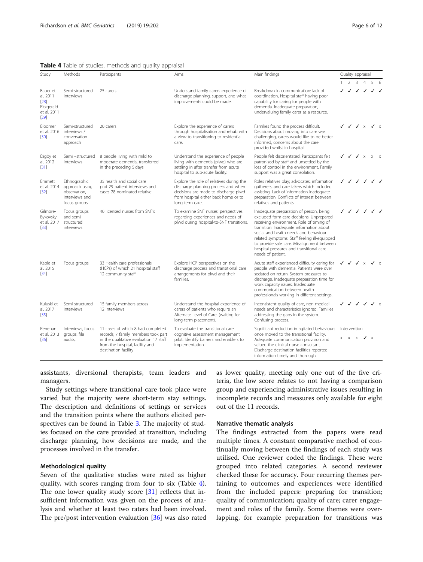[\[36\]](#page-11-0)

<span id="page-5-0"></span>

|  |  |  |  |  |  |  | Table 4 Table of studies, methods and quality appraisal |
|--|--|--|--|--|--|--|---------------------------------------------------------|
|--|--|--|--|--|--|--|---------------------------------------------------------|

| Study                                                                 | Methods                                                                           | Participants                                                                               | Aims                                                                                                                                                                               | Main findings                                                                                                                                                                                                                                                                                                                                                                       |  | Quality appraisal |                 |  |  |                                                  |  |
|-----------------------------------------------------------------------|-----------------------------------------------------------------------------------|--------------------------------------------------------------------------------------------|------------------------------------------------------------------------------------------------------------------------------------------------------------------------------------|-------------------------------------------------------------------------------------------------------------------------------------------------------------------------------------------------------------------------------------------------------------------------------------------------------------------------------------------------------------------------------------|--|-------------------|-----------------|--|--|--------------------------------------------------|--|
|                                                                       |                                                                                   |                                                                                            |                                                                                                                                                                                    |                                                                                                                                                                                                                                                                                                                                                                                     |  |                   | $1 \t2 \t3 \t4$ |  |  | 5 6                                              |  |
| Bauer et<br>al. 2011<br>$[28]$<br>Fitzgerald<br>et al. 2011<br>$[29]$ | Semi-structured<br>interviews                                                     | 25 carers                                                                                  | Understand family carers experience of<br>discharge planning, support, and what<br>improvements could be made.                                                                     | Breakdown in communication: lack of<br>coordination, Hospital staff having poor<br>capability for caring for people with<br>dementia. Inadequate preparation,<br>undervaluing family carer as a resource.                                                                                                                                                                           |  |                   |                 |  |  | v v v v v v                                      |  |
| Bloomer<br>et al. 2016<br>[30]                                        | Semi-structured<br>interviews /<br>conversation<br>approach                       | 20 carers                                                                                  | Explore the experience of carers<br>through hospitalisation and rehab with<br>a view to transitioning to residential<br>care.                                                      | Families found the process difficult.<br>Decisions about moving into care was<br>challenging, carers would like to be better<br>informed, concerns about the care<br>provided whilst in hospital.                                                                                                                                                                                   |  |                   | J J J X J X     |  |  |                                                  |  |
| Digby et<br>al. 2012<br>$[31]$                                        | Semi -structured<br>interviews                                                    | 8 people living with mild to<br>moderate dementia, transferred<br>in the preceding 5 days  | Understand the experience of people<br>living with dementia (plwd) who are<br>settling in after transfer from acute<br>hospital to sub-acute facility.                             | People felt disorientated. Participants felt<br>patronised by staff and unsettled by the<br>loss of control in the environment. Family<br>support was a great consolation.                                                                                                                                                                                                          |  |                   |                 |  |  | $\sqrt{2}$ $\sqrt{2}$ $\times$ $\times$ $\times$ |  |
| Emmett<br>et al. 2014<br>[32]                                         | Ethnographic<br>approach using<br>observation.<br>interviews and<br>focus groups. | 35 health and social care<br>prof 29 patient interviews and<br>cases 28 nominated relative | Explore the role of relatives during the<br>discharge planning process and when<br>decisions are made to discharge plwd<br>from hospital either back home or to<br>long-term care. | Roles relatives play; advocates, information<br>gatherers, and care takers which included<br>assisting. Lack of information inadequate<br>preparation. Conflicts of interest between<br>relatives and patients.                                                                                                                                                                     |  |                   |                 |  |  | v v v v v v                                      |  |
| Gilmore-<br>Bykovsky<br>et al. 2017<br>$[33]$                         | Focus groups<br>and semi<br>structured<br>interviews                              | 40 licensed nurses from SNF's                                                              | To examine SNF nurses' perspectives<br>regarding experiences and needs of<br>plwd during hospital-to-SNF transitions.                                                              | Inadequate preparation of person, being<br>excluded form care decisions. Unprepared<br>receiving environment. Role of timing of<br>transition. Inadequate information about<br>social and health needs and behaviour<br>related symptoms. Staff feeling ill-equipped<br>to provide safe care. Misalignment between<br>hospital pressures and transitional care<br>needs of patient. |  |                   |                 |  |  | v v v v v v                                      |  |
| Kable et<br>al. 2015<br>$\left  \frac{34}{2} \right $                 | Focus groups                                                                      | 33 Health care professionals<br>(HCPs) of which 21 hospital staff<br>12 community staff    | Explore HCP perspectives on the<br>discharge process and transitional care<br>arrangements for plwd and their<br>families.                                                         | Acute staff experienced difficulty caring for<br>people with dementia. Patients were over<br>sedated on return. System pressures to<br>discharge. Inadequate preparation time for<br>work capacity issues. Inadequate<br>communication between health<br>professionals working in different settings.                                                                               |  |                   | J J J x J x     |  |  |                                                  |  |
| Kuluski et<br>al. 2017<br>$[35]$                                      | Semi structured<br>interviews                                                     | 15 family members across<br>12 interviews                                                  | Understand the hospital experience of<br>carers of patients who require an<br>Alternate Level of Care, (waiting for                                                                | Inconsistent quality of care, non-medical<br>needs and characteristics ignored. Families<br>addressing the gaps in the system.                                                                                                                                                                                                                                                      |  |                   | J J J J J X     |  |  |                                                  |  |

long-term placement). Confusing process. Renehan et al. 2013 groups, file Interviews, focus audits, 11 cases of which 8 had completed records, 7 family members took part in the qualitative evaluation 17 staff from the hospital, facility and destination facility To evaluate the transitional care cognitive assessment management pilot. Identify barriers and enablers to implementation. Significant reduction in agitated behaviours Intervention once moved to the transitional facility. Adequate communication provision and valued the clinical nurse consultant. Discharge destination facilities reported information timely and thorough.  $x \times x \times$ 

assistants, diversional therapists, team leaders and managers.

Study settings where transitional care took place were varied but the majority were short-term stay settings. The description and definitions of settings or services and the transition points where the authors elicited perspectives can be found in Table [3.](#page-4-0) The majority of studies focused on the care provided at transition, including discharge planning, how decisions are made, and the processes involved in the transfer.

#### Methodological quality

Seven of the qualitative studies were rated as higher quality, with scores ranging from four to six (Table 4). The one lower quality study score [\[31](#page-11-0)] reflects that insufficient information was given on the process of analysis and whether at least two raters had been involved. The pre/post intervention evaluation [[36](#page-11-0)] was also rated

as lower quality, meeting only one out of the five criteria, the low score relates to not having a comparison group and experiencing administrative issues resulting in incomplete records and measures only available for eight out of the 11 records.

### Narrative thematic analysis

The findings extracted from the papers were read multiple times. A constant comparative method of continually moving between the findings of each study was utilised. One reviewer coded the findings. These were grouped into related categories. A second reviewer checked these for accuracy. Four recurring themes pertaining to outcomes and experiences were identified from the included papers: preparing for transition; quality of communication; quality of care; carer engagement and roles of the family. Some themes were overlapping, for example preparation for transitions was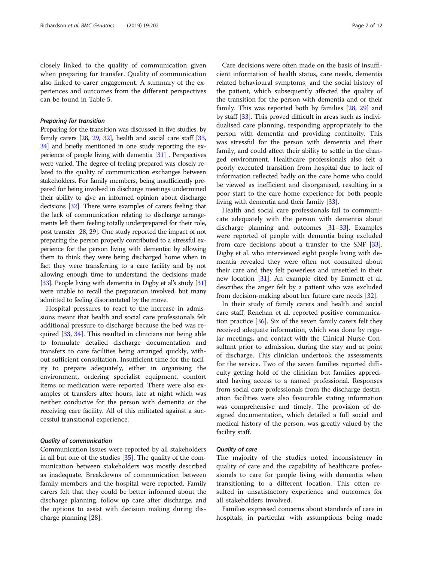closely linked to the quality of communication given when preparing for transfer. Quality of communication also linked to carer engagement. A summary of the experiences and outcomes from the different perspectives can be found in Table [5.](#page-7-0)

#### Preparing for transition

Preparing for the transition was discussed in five studies; by family carers [[28](#page-11-0), [29](#page-11-0), [32\]](#page-11-0), health and social care staff [\[33](#page-11-0), [34](#page-11-0)] and briefly mentioned in one study reporting the experience of people living with dementia [\[31\]](#page-11-0) . Perspectives were varied. The degree of feeling prepared was closely related to the quality of communication exchanges between stakeholders. For family members, being insufficiently prepared for being involved in discharge meetings undermined their ability to give an informed opinion about discharge decisions [\[32\]](#page-11-0). There were examples of carers feeling that the lack of communication relating to discharge arrangements left them feeling totally underprepared for their role, post transfer [[28,](#page-11-0) [29](#page-11-0)]. One study reported the impact of not preparing the person properly contributed to a stressful experience for the person living with dementia: by allowing them to think they were being discharged home when in fact they were transferring to a care facility and by not allowing enough time to understand the decisions made [[33](#page-11-0)]. People living with dementia in Digby et al's study [\[31](#page-11-0)] were unable to recall the preparation involved, but many admitted to feeling disorientated by the move.

Hospital pressures to react to the increase in admissions meant that health and social care professionals felt additional pressure to discharge because the bed was required [\[33](#page-11-0), [34](#page-11-0)]. This resulted in clinicians not being able to formulate detailed discharge documentation and transfers to care facilities being arranged quickly, without sufficient consultation. Insufficient time for the facility to prepare adequately, either in organising the environment, ordering specialist equipment, comfort items or medication were reported. There were also examples of transfers after hours, late at night which was neither conducive for the person with dementia or the receiving care facility. All of this militated against a successful transitional experience.

## Quality of communication

Communication issues were reported by all stakeholders in all but one of the studies [\[35\]](#page-11-0). The quality of the communication between stakeholders was mostly described as inadequate. Breakdowns of communication between family members and the hospital were reported. Family carers felt that they could be better informed about the discharge planning, follow up care after discharge, and the options to assist with decision making during discharge planning [\[28](#page-11-0)].

Care decisions were often made on the basis of insufficient information of health status, care needs, dementia related behavioural symptoms, and the social history of the patient, which subsequently affected the quality of the transition for the person with dementia and or their family. This was reported both by families [[28](#page-11-0), [29](#page-11-0)] and by staff [\[33](#page-11-0)]. This proved difficult in areas such as individualised care planning, responding appropriately to the person with dementia and providing continuity. This was stressful for the person with dementia and their family, and could affect their ability to settle in the changed environment. Healthcare professionals also felt a poorly executed transition from hospital due to lack of information reflected badly on the care home who could be viewed as inefficient and disorganised, resulting in a poor start to the care home experience for both people living with dementia and their family [[33](#page-11-0)].

Health and social care professionals fail to communicate adequately with the person with dementia about discharge planning and outcomes [\[31](#page-11-0)–[33\]](#page-11-0). Examples were reported of people with dementia being excluded from care decisions about a transfer to the SNF [\[33](#page-11-0)]. Digby et al. who interviewed eight people living with dementia revealed they were often not consulted about their care and they felt powerless and unsettled in their new location [\[31](#page-11-0)]. An example cited by Emmett et al. describes the anger felt by a patient who was excluded from decision-making about her future care needs [\[32\]](#page-11-0).

In their study of family carers and health and social care staff, Renehan et al. reported positive communication practice [[36\]](#page-11-0). Six of the seven family carers felt they received adequate information, which was done by regular meetings, and contact with the Clinical Nurse Consultant prior to admission, during the stay and at point of discharge. This clinician undertook the assessments for the service. Two of the seven families reported difficulty getting hold of the clinician but families appreciated having access to a named professional. Responses from social care professionals from the discharge destination facilities were also favourable stating information was comprehensive and timely. The provision of designed documentation, which detailed a full social and medical history of the person, was greatly valued by the facility staff.

## Quality of care

The majority of the studies noted inconsistency in quality of care and the capability of healthcare professionals to care for people living with dementia when transitioning to a different location. This often resulted in unsatisfactory experience and outcomes for all stakeholders involved.

Families expressed concerns about standards of care in hospitals, in particular with assumptions being made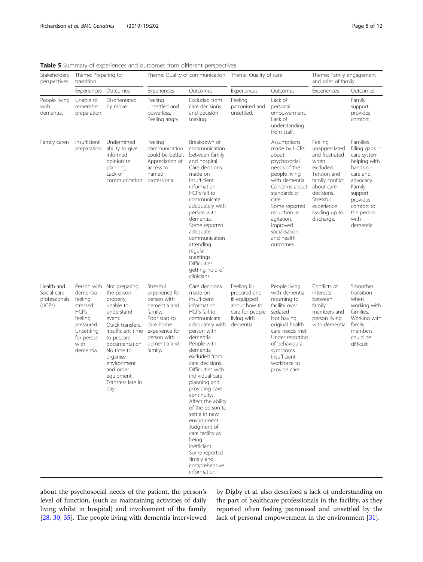<span id="page-7-0"></span>

|  | Table 5 Summary of experiences and outcomes from different perspectives |
|--|-------------------------------------------------------------------------|
|--|-------------------------------------------------------------------------|

| Stakeholders<br>perspectives                         | Theme: Preparing for<br>transition                                                                                                       |                                                                                                                                                                                                                                                         | Theme: Quality of communication Theme: Quality of care                                                                                                          |                                                                                                                                                                                                                                                                                                                                                                                                                                                                                                        |                                                                                                             |                                                                                                                                                                                                                                                           | Theme: Family engagement<br>and roles of family                                                                                                                                         |                                                                                                                                                                                   |  |
|------------------------------------------------------|------------------------------------------------------------------------------------------------------------------------------------------|---------------------------------------------------------------------------------------------------------------------------------------------------------------------------------------------------------------------------------------------------------|-----------------------------------------------------------------------------------------------------------------------------------------------------------------|--------------------------------------------------------------------------------------------------------------------------------------------------------------------------------------------------------------------------------------------------------------------------------------------------------------------------------------------------------------------------------------------------------------------------------------------------------------------------------------------------------|-------------------------------------------------------------------------------------------------------------|-----------------------------------------------------------------------------------------------------------------------------------------------------------------------------------------------------------------------------------------------------------|-----------------------------------------------------------------------------------------------------------------------------------------------------------------------------------------|-----------------------------------------------------------------------------------------------------------------------------------------------------------------------------------|--|
|                                                      | Experiences                                                                                                                              | Outcomes                                                                                                                                                                                                                                                | Experiences                                                                                                                                                     | Outcomes                                                                                                                                                                                                                                                                                                                                                                                                                                                                                               | Experiences                                                                                                 | Outcomes                                                                                                                                                                                                                                                  | Experiences                                                                                                                                                                             | Outcomes                                                                                                                                                                          |  |
| People living<br>with<br>dementia.                   | Unable to<br>remember<br>preparation.                                                                                                    | Disorientated<br>by move.                                                                                                                                                                                                                               | Feeling<br>unsettled and<br>powerless.<br>Feeling angry                                                                                                         | Excluded from<br>care decisions<br>and decision<br>making.                                                                                                                                                                                                                                                                                                                                                                                                                                             | Feeling<br>patronised and<br>unsettled.                                                                     | Lack of<br>personal<br>empowerment.<br>Lack of<br>understanding<br>from staff.                                                                                                                                                                            |                                                                                                                                                                                         | Family<br>support<br>provides<br>comfort.                                                                                                                                         |  |
| Family carers                                        | Insufficient<br>preparation                                                                                                              | Undermined<br>ability to give<br>informed<br>opinion re<br>planning.<br>Lack of<br>communication.                                                                                                                                                       | Feeling<br>communication<br>could be better.<br>Appreciation of<br>access to<br>named<br>professional.                                                          | Breakdown of<br>communication<br>between family<br>and hospital.<br>Care decisions<br>made on<br>insufficient<br>information.<br>HCPs fail to<br>communicate<br>adequately with<br>person with<br>dementia.<br>Some reported<br>adequate<br>communication<br>attending<br>regular<br>meetings.<br><b>Difficulties</b><br>getting hold of<br>clinicians.                                                                                                                                                |                                                                                                             | Assumptions<br>made by HCPs<br>about<br>psychosocial<br>needs of the<br>people living<br>with dementia.<br>Concerns about<br>standards of<br>care.<br>Some reported<br>reduction in<br>agitation,<br>improved<br>socialisation<br>and health<br>outcomes. | Feeling<br>unappreciated<br>and frustrated<br>when<br>excluded.<br>Tension and<br>family conflict<br>about care<br>decisions.<br>Stressful<br>experience<br>leading up to<br>discharge. | Families<br>filling gaps in<br>care system<br>helping with<br>hands on<br>care and<br>advocacy.<br>Family<br>support<br>provides<br>comfort to<br>the person<br>with<br>dementia. |  |
| Health and<br>Social care<br>professionals<br>(HCPs) | Person with<br>dementia<br>feeling<br>stressed.<br><b>HCPs</b><br>feeling<br>pressured.<br>Unsettling<br>for person<br>with<br>dementia. | Not preparing<br>the person<br>properly,<br>unable to<br>understand<br>event.<br>Quick transfers,<br>insufficient time<br>to prepare<br>documentation.<br>No time to<br>organise<br>environment<br>and order<br>equipment.<br>Transfers late in<br>day. | Stressful<br>experience for<br>person with<br>dementia and<br>family.<br>Poor start to<br>care home<br>experience for<br>person with<br>dementia and<br>family. | Care decisions<br>made on<br>insufficient<br>information.<br>HCPs fail to<br>communicate<br>adequately with<br>person with<br>dementia.<br>People with<br>dementia<br>excluded from<br>care decisions.<br>Difficulties with<br>individual care<br>planning and<br>providing care<br>continuity.<br>Affect the ability<br>of the person to<br>settle in new<br>environment.<br>Judgment of<br>care facility as<br>being<br>inefficient.<br>Some reported<br>timely and<br>comprehensive<br>information. | Feeling ill-<br>prepared and<br>ill-equipped<br>about how to<br>care for people<br>living with<br>dementia. | People living<br>with dementia<br>returning to<br>facility over<br>sedated<br>Not having<br>original health<br>care needs met.<br>Under reporting<br>of behavioural<br>symptoms.<br>Insufficient<br>workforce to<br>provide care.                         | Conflicts of<br>interests<br>between<br>family<br>members and<br>person living<br>with dementia.                                                                                        | Smoother<br>transition<br>when<br>working with<br>families.<br>Working with<br>family<br>members<br>could be<br>difficult.                                                        |  |

about the psychosocial needs of the patient, the person's level of function, (such as maintaining activities of daily living whilst in hospital) and involvement of the family [[28,](#page-11-0) [30,](#page-11-0) [35](#page-11-0)]. The people living with dementia interviewed by Digby et al. also described a lack of understanding on the part of healthcare professionals in the facility, as they reported often feeling patronised and unsettled by the lack of personal empowerment in the environment [\[31](#page-11-0)].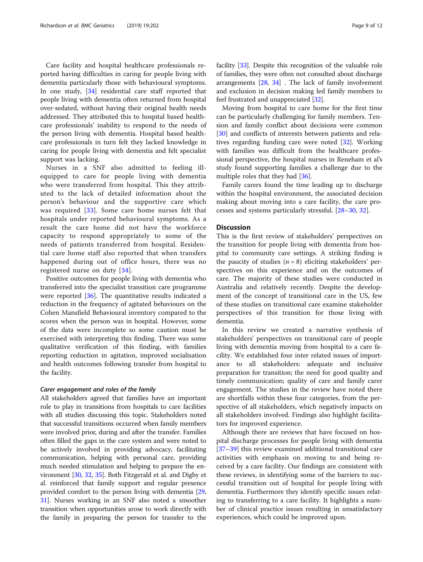Care facility and hospital healthcare professionals reported having difficulties in caring for people living with dementia particularly those with behavioural symptoms. In one study, [[34](#page-11-0)] residential care staff reported that people living with dementia often returned from hospital over-sedated, without having their original health needs addressed. They attributed this to hospital based healthcare professionals' inability to respond to the needs of the person living with dementia. Hospital based healthcare professionals in turn felt they lacked knowledge in caring for people living with dementia and felt specialist support was lacking.

Nurses in a SNF also admitted to feeling illequipped to care for people living with dementia who were transferred from hospital. This they attributed to the lack of detailed information about the person's behaviour and the supportive care which was required [[33\]](#page-11-0). Some care home nurses felt that hospitals under reported behavioural symptoms. As a result the care home did not have the workforce capacity to respond appropriately to some of the needs of patients transferred from hospital. Residential care home staff also reported that when transfers happened during out of office hours, there was no registered nurse on duty [[34](#page-11-0)].

Positive outcomes for people living with dementia who transferred into the specialist transition care programme were reported [\[36\]](#page-11-0). The quantitative results indicated a reduction in the frequency of agitated behaviours on the Cohen Mansfield Behavioural inventory compared to the scores when the person was in hospital. However, some of the data were incomplete so some caution must be exercised with interpreting this finding. There was some qualitative verification of this finding, with families reporting reduction in agitation, improved socialisation and health outcomes following transfer from hospital to the facility.

### Carer engagement and roles of the family

All stakeholders agreed that families have an important role to play in transitions from hospitals to care facilities with all studies discussing this topic. Stakeholders noted that successful transitions occurred when family members were involved prior, during and after the transfer. Families often filled the gaps in the care system and were noted to be actively involved in providing advocacy, facilitating communication, helping with personal care, providing much needed stimulation and helping to prepare the environment [\[30](#page-11-0), [32,](#page-11-0) [35\]](#page-11-0). Both Fitzgerald et al. and Digby et al. reinforced that family support and regular presence provided comfort to the person living with dementia [[29](#page-11-0), [31](#page-11-0)]. Nurses working in an SNF also noted a smoother transition when opportunities arose to work directly with the family in preparing the person for transfer to the facility [[33\]](#page-11-0). Despite this recognition of the valuable role of families, they were often not consulted about discharge arrangements [\[28,](#page-11-0) [34\]](#page-11-0) . The lack of family involvement and exclusion in decision making led family members to feel frustrated and unappreciated [\[32](#page-11-0)].

Moving from hospital to care home for the first time can be particularly challenging for family members. Tension and family conflict about decisions were common [[30\]](#page-11-0) and conflicts of interests between patients and relatives regarding funding care were noted [[32\]](#page-11-0). Working with families was difficult from the healthcare professional perspective, the hospital nurses in Reneham et al's study found supporting families a challenge due to the multiple roles that they had [\[36](#page-11-0)].

Family carers found the time leading up to discharge within the hospital environment, the associated decision making about moving into a care facility, the care processes and systems particularly stressful. [\[28](#page-11-0)–[30](#page-11-0), [32\]](#page-11-0).

## Discussion

This is the first review of stakeholders' perspectives on the transition for people living with dementia from hospital to community care settings. A striking finding is the paucity of studies  $(n = 8)$  eliciting stakeholders' perspectives on this experience and on the outcomes of care. The majority of these studies were conducted in Australia and relatively recently. Despite the development of the concept of transitional care in the US, few of these studies on transitional care examine stakeholder perspectives of this transition for those living with dementia.

In this review we created a narrative synthesis of stakeholders' perspectives on transitional care of people living with dementia moving from hospital to a care facility. We established four inter related issues of importance to all stakeholders: adequate and inclusive preparation for transition; the need for good quality and timely communication; quality of care and family carer engagement. The studies in the review have noted there are shortfalls within these four categories, from the perspective of all stakeholders, which negatively impacts on all stakeholders involved. Findings also highlight facilitators for improved experience.

Although there are reviews that have focused on hospital discharge processes for people living with dementia [[37](#page-11-0)–[39](#page-11-0)] this review examined additional transitional care activities with emphasis on moving to and being received by a care facility. Our findings are consistent with these reviews, in identifying some of the barriers to successful transition out of hospital for people living with dementia. Furthermore they identify specific issues relating to transferring to a care facility. It highlights a number of clinical practice issues resulting in unsatisfactory experiences, which could be improved upon.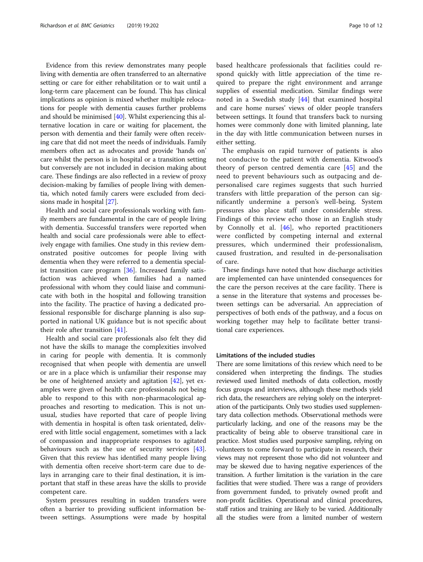Evidence from this review demonstrates many people living with dementia are often transferred to an alternative setting or care for either rehabilitation or to wait until a long-term care placement can be found. This has clinical implications as opinion is mixed whether multiple relocations for people with dementia causes further problems and should be minimised [\[40\]](#page-11-0). Whilst experiencing this alternative location in care or waiting for placement, the person with dementia and their family were often receiving care that did not meet the needs of individuals. Family members often act as advocates and provide 'hands on' care whilst the person is in hospital or a transition setting but conversely are not included in decision making about care. These findings are also reflected in a review of proxy decision-making by families of people living with dementia, which noted family carers were excluded from decisions made in hospital [[27](#page-11-0)].

Health and social care professionals working with family members are fundamental in the care of people living with dementia. Successful transfers were reported when health and social care professionals were able to effectively engage with families. One study in this review demonstrated positive outcomes for people living with dementia when they were referred to a dementia specialist transition care program [\[36](#page-11-0)]. Increased family satisfaction was achieved when families had a named professional with whom they could liaise and communicate with both in the hospital and following transition into the facility. The practice of having a dedicated professional responsible for discharge planning is also supported in national UK guidance but is not specific about their role after transition [\[41](#page-11-0)].

Health and social care professionals also felt they did not have the skills to manage the complexities involved in caring for people with dementia. It is commonly recognised that when people with dementia are unwell or are in a place which is unfamiliar their response may be one of heightened anxiety and agitation [\[42](#page-11-0)], yet examples were given of health care professionals not being able to respond to this with non-pharmacological approaches and resorting to medication. This is not unusual, studies have reported that care of people living with dementia in hospital is often task orientated, delivered with little social engagement, sometimes with a lack of compassion and inappropriate responses to agitated behaviours such as the use of security services [\[43](#page-11-0)]. Given that this review has identified many people living with dementia often receive short-term care due to delays in arranging care to their final destination, it is important that staff in these areas have the skills to provide competent care.

System pressures resulting in sudden transfers were often a barrier to providing sufficient information between settings. Assumptions were made by hospital

based healthcare professionals that facilities could respond quickly with little appreciation of the time required to prepare the right environment and arrange supplies of essential medication. Similar findings were noted in a Swedish study [\[44](#page-11-0)] that examined hospital and care home nurses' views of older people transfers between settings. It found that transfers back to nursing homes were commonly done with limited planning, late in the day with little communication between nurses in either setting.

The emphasis on rapid turnover of patients is also not conducive to the patient with dementia. Kitwood's theory of person centred dementia care [\[45](#page-11-0)] and the need to prevent behaviours such as outpacing and depersonalised care regimes suggests that such hurried transfers with little preparation of the person can significantly undermine a person's well-being. System pressures also place staff under considerable stress. Findings of this review echo those in an English study by Connolly et al. [\[46](#page-11-0)], who reported practitioners were conflicted by competing internal and external pressures, which undermined their professionalism, caused frustration, and resulted in de-personalisation of care.

These findings have noted that how discharge activities are implemented can have unintended consequences for the care the person receives at the care facility. There is a sense in the literature that systems and processes between settings can be adversarial. An appreciation of perspectives of both ends of the pathway, and a focus on working together may help to facilitate better transitional care experiences.

## Limitations of the included studies

There are some limitations of this review which need to be considered when interpreting the findings. The studies reviewed used limited methods of data collection, mostly focus groups and interviews, although these methods yield rich data, the researchers are relying solely on the interpretation of the participants. Only two studies used supplementary data collection methods. Observational methods were particularly lacking, and one of the reasons may be the practicality of being able to observe transitional care in practice. Most studies used purposive sampling, relying on volunteers to come forward to participate in research, their views may not represent those who did not volunteer and may be skewed due to having negative experiences of the transition. A further limitation is the variation in the care facilities that were studied. There was a range of providers from government funded, to privately owned profit and non-profit facilities. Operational and clinical procedures, staff ratios and training are likely to be varied. Additionally all the studies were from a limited number of western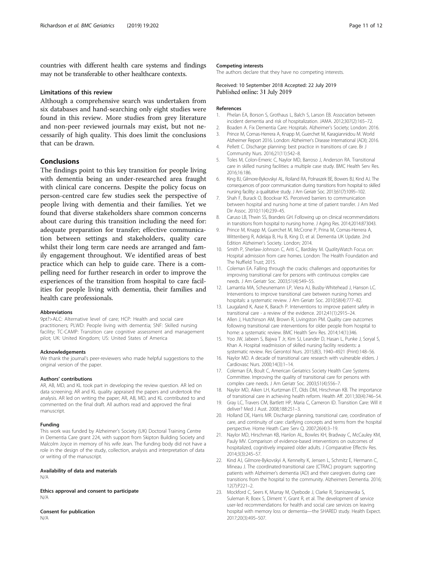<span id="page-10-0"></span>countries with different health care systems and findings may not be transferable to other healthcare contexts.

## Limitations of this review

Although a comprehensive search was undertaken from six databases and hand-searching only eight studies were found in this review. More studies from grey literature and non-peer reviewed journals may exist, but not necessarily of high quality. This does limit the conclusions that can be drawn.

## Conclusions

The findings point to this key transition for people living with dementia being an under-researched area fraught with clinical care concerns. Despite the policy focus on person-centred care few studies seek the perspective of people living with dementia and their families. Yet we found that diverse stakeholders share common concerns about care during this transition including the need for: adequate preparation for transfer; effective communication between settings and stakeholders, quality care whilst their long term care needs are arranged and family engagement throughout. We identified areas of best practice which can help to guide care. There is a compelling need for further research in order to improve the experiences of the transition from hospital to care facilities for people living with dementia, their families and health care professionals.

#### Abbreviations

9pt?>ALC: Alternative level of care; HCP: Health and social care practitioners; PLWD: People living with dementia; SNF: Skilled nursing facility; TC-CAMP: Transition care cognitive assessment and management pilot; UK: United Kingdom; US: United States of America

#### Acknowledgements

We thank the journal's peer-reviewers who made helpful suggestions to the original version of the paper.

#### Authors' contributions

AR, AB, MD, and KL took part in developing the review question. AR led on data screening; AR and KL quality appraised the papers and undertook the analysis. AR led on writing the paper; AR, AB, MD, and KL contributed to and commented on the final draft. All authors read and approved the final manuscript.

#### Funding

This work was funded by Alzheimer's Society (UK) Doctoral Training Centre in Dementia Care grant 224, with support from Skipton Building Society and Malcolm Joyce in memory of his wife Jean. The funding body did not have a role in the design of the study, collection, analysis and interpretation of data or writing of the manuscript.

## Availability of data and materials

N/A

Ethics approval and consent to participate N/A

#### Consent for publication N/A

#### Competing interests

The authors declare that they have no competing interests.

## Received: 10 September 2018 Accepted: 22 July 2019 Published online: 31 July 2019

#### References

- 1. Phelan EA, Borson S, Grothaus L, Balch S, Larson EB. Association between incident dementia and risk of hospitalization. JAMA. 2012;307(2):165–72.
- 2. Boaden A. Fix Dementia Care: Hospitals. Alzheimer's Society; London: 2016. 3. Prince M, Comas-Herrera A, Knapp M, Guerchet M, Karagiannidou M. World
- Alzheimer Report 2016. London: Alzheimer's Disease International (ADI); 2016.
- 4. Pellett C. Discharge planning: best practice in transitions of care. Br J Community Nurs. 2016;21(11):542–8.
- 5. Toles M, Colon-Emeric C, Naylor MD, Barroso J, Anderson RA. Transitional care in skilled nursing facilities: a multiple case study. BMC Health Serv Res. 2016;16:186.
- 6. King BJ, Gilmore-Bykovskyi AL, Roiland RA, Polnaszek BE, Bowers BJ, Kind AJ. The consequences of poor communication during transitions from hospital to skilled nursing facility: a qualitative study. J Am Geriatr Soc. 2013;61(7):1095–102.
- 7. Shah F, Burack O, Boockvar KS. Perceived barriers to communication between hospital and nursing home at time of patient transfer. J Am Med Dir Assoc. 2010;11(4):239–45.
- 8. Caruso LB, Thwin SS, Brandeis GH. Following up on clinical recommendations in transitions from hospital to nursing home. J Aging Res. 2014;2014:873043.
- 9. Prince M, Knapp M, Guerchet M, McCrone P, Prina M, Comas-Herrera A, Wittenberg R, Adelaja B, Hu B, King D, et al. Dementia UK Update. 2nd Edition Alzheimer's Society. London; 2014.
- 10. Smith P, Sherlaw-Johnson C, Ariti C, Bardsley M. QualityWatch Focus on: Hospital admission from care homes. London: The Health Foundation and The Nuffield Trust; 2015.
- 11. Coleman EA. Falling through the cracks: challenges and opportunities for improving transitional care for persons with continuous complex care needs. J Am Geriatr Soc. 2003;51(4):549–55.
- 12. Lamantia MA, Scheunemann LP, Viera AJ, Busby-Whitehead J, Hanson LC. Interventions to improve transitional care between nursing homes and hospitals: a systematic review. J Am Geriatr Soc. 2010;58(4):777–82.
- 13. Laugaland K, Aase K, Barach P. Interventions to improve patient safety in transitional care - a review of the evidence. 2012;41(1):2915–24.
- 14. Allen J, Hutchinson AM, Brown R, Livingston PM. Quality care outcomes following transitional care interventions for older people from hospital to home: a systematic review. BMC Health Serv Res. 2014;14(1):346.
- 15. Yoo JW, Jabeen S, Bajwa T Jr, Kim SJ, Leander D, Hasan L, Punke J, Soryal S, Khan A. Hospital readmission of skilled nursing facility residents: a systematic review. Res Gerontol Nurs. 2015;8(3, 1940–4921 (Print):148–56.
- 16. Naylor MD. A decade of transitional care research with vulnerable elders. J Cardiovasc Nurs. 2000;14(3):1–14.
- 17. Coleman EA, Boult C, American Geriatrics Society Health Care Systems Committee. Improving the quality of transitional care for persons with complex care needs. J Am Geriatr Soc. 2003;51(4):556–7.
- 18. Naylor MD, Aiken LH, Kurtzman ET, Olds DM, Hirschman KB. The importance of transitional care in achieving health reform. Health Aff. 2011;30(4):746–54.
- 19. Gray LC, Travers CM, Bartlett HP, Maria C, Cameron ID. Transition Care: Will it deliver? Med J Aust. 2008;188:251–3.
- 20. Holland DE, Harris MR. Discharge planning, transitional care, coordination of care, and continuity of care: clarifying concepts and terms from the hospital perspective. Home Heath Care Serv Q. 2007;26(4):3–19.
- 21. Naylor MD, Hirschman KB, Hanlon AL, Bowles KH, Bradway C, McCauley KM, Pauly MV. Comparison of evidence-based interventions on outcomes of hospitalized, cognitively impaired older adults. J Comparative Effectiv Res. 2014;3(3):245–57.
- 22. Kind AJ, Gilmore-Bykovskyi A, Kennelty K, Jensen L, Schmitz E, Hermann C, Mineau J. The coordinated-transitional care (CTRAC) program: supporting patients with Alzheimer's dementia (AD) and their caregivers during care transitions from the hospital to the community. Alzheimers Dementia. 2016; 12(7):P221–2.
- 23. Mockford C, Seers K, Murray M, Oyebode J, Clarke R, Staniszewska S, Suleman R, Boex S, Diment Y, Grant R, et al. The development of service user-led recommendations for health and social care services on leaving hospital with memory loss or dementia—the SHARED study. Health Expect. 2017;20(3):495–507.